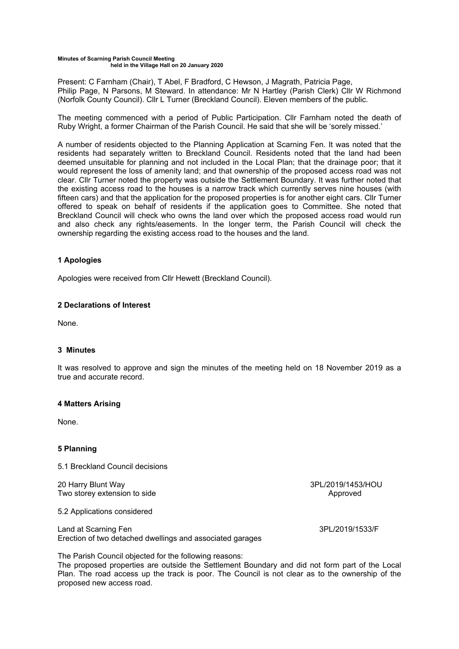#### **Minutes of Scarning Parish Council Meeting held in the Village Hall on 20 January 2020**

Present: C Farnham (Chair), T Abel, F Bradford, C Hewson, J Magrath, Patricia Page, Philip Page, N Parsons, M Steward. In attendance: Mr N Hartley (Parish Clerk) Cllr W Richmond (Norfolk County Council). Cllr L Turner (Breckland Council). Eleven members of the public.

The meeting commenced with a period of Public Participation. Cllr Farnham noted the death of Ruby Wright, a former Chairman of the Parish Council. He said that she will be 'sorely missed.'

A number of residents objected to the Planning Application at Scarning Fen. It was noted that the residents had separately written to Breckland Council. Residents noted that the land had been deemed unsuitable for planning and not included in the Local Plan; that the drainage poor; that it would represent the loss of amenity land; and that ownership of the proposed access road was not clear. Cllr Turner noted the property was outside the Settlement Boundary. It was further noted that the existing access road to the houses is a narrow track which currently serves nine houses (with fifteen cars) and that the application for the proposed properties is for another eight cars. Cllr Turner offered to speak on behalf of residents if the application goes to Committee. She noted that Breckland Council will check who owns the land over which the proposed access road would run and also check any rights/easements. In the longer term, the Parish Council will check the ownership regarding the existing access road to the houses and the land.

# **1 Apologies**

Apologies were received from Cllr Hewett (Breckland Council).

# **2 Declarations of Interest**

None.

## **3 Minutes**

It was resolved to approve and sign the minutes of the meeting held on 18 November 2019 as a true and accurate record.

### **4 Matters Arising**

None.

# **5 Planning**

5.1 Breckland Council decisions

20 Harry Blunt Way 3PL/2019/1453/HOU Two storey extension to side Approved and the Approved Approved Approved Approved Approved Approved Approved Approved Approved Approved Approved Approved Approved Approved Approved Approved Approved Approved Approved Appro

5.2 Applications considered

Land at Scarning Fen 3PL/2019/1533/F Erection of two detached dwellings and associated garages

The Parish Council objected for the following reasons:

The proposed properties are outside the Settlement Boundary and did not form part of the Local Plan. The road access up the track is poor. The Council is not clear as to the ownership of the proposed new access road.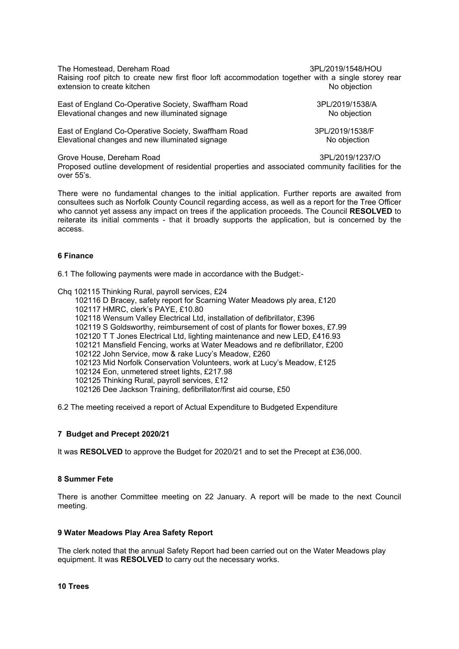| The Homestead, Dereham Road | 3PL/2019/1548/HOU                                                                                  |
|-----------------------------|----------------------------------------------------------------------------------------------------|
|                             | Raising roof pitch to create new first floor loft accommodation together with a single storey rear |
| extension to create kitchen | No objection                                                                                       |
|                             | ODI                                                                                                |

| East of England Co-Operative Society, Swaffham Road | 3PL/2019/1538/A |
|-----------------------------------------------------|-----------------|
| Elevational changes and new illuminated signage     | No objection    |
| East of England Co-Operative Society, Swaffham Road | 3PL/2019/1538/F |

Elevational changes and new illuminated signage No objection

Grove House, Dereham Road 3PL/2019/1237/O

Proposed outline development of residential properties and associated community facilities for the over 55's.

There were no fundamental changes to the initial application. Further reports are awaited from consultees such as Norfolk County Council regarding access, as well as a report for the Tree Officer who cannot yet assess any impact on trees if the application proceeds. The Council **RESOLVED** to reiterate its initial comments - that it broadly supports the application, but is concerned by the access.

# **6 Finance**

6.1 The following payments were made in accordance with the Budget:-

Chq 102115 Thinking Rural, payroll services, £24

- 102116 D Bracey, safety report for Scarning Water Meadows ply area, £120 102117 HMRC, clerk's PAYE, £10.80
- 102118 Wensum Valley Electrical Ltd, installation of defibrillator, £396
- 102119 S Goldsworthy, reimbursement of cost of plants for flower boxes, £7.99
- 102120 T T Jones Electrical Ltd, lighting maintenance and new LED, £416.93
- 102121 Mansfield Fencing, works at Water Meadows and re defibrillator, £200
- 102122 John Service, mow & rake Lucy's Meadow, £260
- 102123 Mid Norfolk Conservation Volunteers, work at Lucy's Meadow, £125
- 102124 Eon, unmetered street lights, £217.98
- 102125 Thinking Rural, payroll services, £12
- 102126 Dee Jackson Training, defibrillator/first aid course, £50

6.2 The meeting received a report of Actual Expenditure to Budgeted Expenditure

# **7 Budget and Precept 2020/21**

It was **RESOLVED** to approve the Budget for 2020/21 and to set the Precept at £36,000.

# **8 Summer Fete**

There is another Committee meeting on 22 January. A report will be made to the next Council meeting.

# **9 Water Meadows Play Area Safety Report**

The clerk noted that the annual Safety Report had been carried out on the Water Meadows play equipment. It was **RESOLVED** to carry out the necessary works.

# **10 Trees**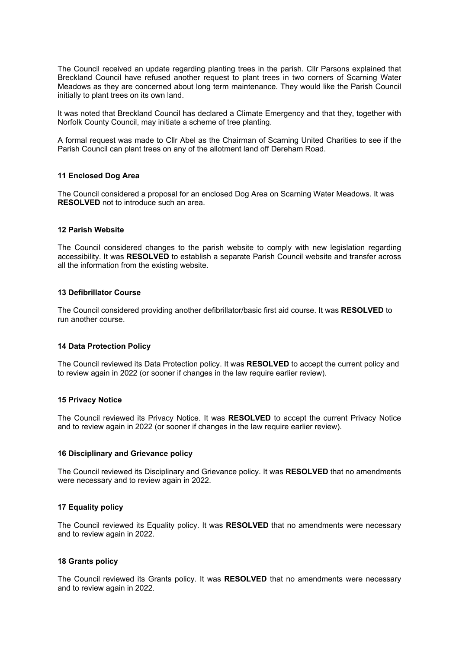The Council received an update regarding planting trees in the parish. Cllr Parsons explained that Breckland Council have refused another request to plant trees in two corners of Scarning Water Meadows as they are concerned about long term maintenance. They would like the Parish Council initially to plant trees on its own land.

It was noted that Breckland Council has declared a Climate Emergency and that they, together with Norfolk County Council, may initiate a scheme of tree planting.

A formal request was made to Cllr Abel as the Chairman of Scarning United Charities to see if the Parish Council can plant trees on any of the allotment land off Dereham Road.

#### **11 Enclosed Dog Area**

The Council considered a proposal for an enclosed Dog Area on Scarning Water Meadows. It was **RESOLVED** not to introduce such an area.

#### **12 Parish Website**

The Council considered changes to the parish website to comply with new legislation regarding accessibility. It was **RESOLVED** to establish a separate Parish Council website and transfer across all the information from the existing website.

# **13 Defibrillator Course**

The Council considered providing another defibrillator/basic first aid course. It was **RESOLVED** to run another course.

#### **14 Data Protection Policy**

The Council reviewed its Data Protection policy. It was **RESOLVED** to accept the current policy and to review again in 2022 (or sooner if changes in the law require earlier review).

#### **15 Privacy Notice**

The Council reviewed its Privacy Notice. It was **RESOLVED** to accept the current Privacy Notice and to review again in 2022 (or sooner if changes in the law require earlier review).

#### **16 Disciplinary and Grievance policy**

The Council reviewed its Disciplinary and Grievance policy. It was **RESOLVED** that no amendments were necessary and to review again in 2022.

### **17 Equality policy**

The Council reviewed its Equality policy. It was **RESOLVED** that no amendments were necessary and to review again in 2022.

#### **18 Grants policy**

The Council reviewed its Grants policy. It was **RESOLVED** that no amendments were necessary and to review again in 2022.